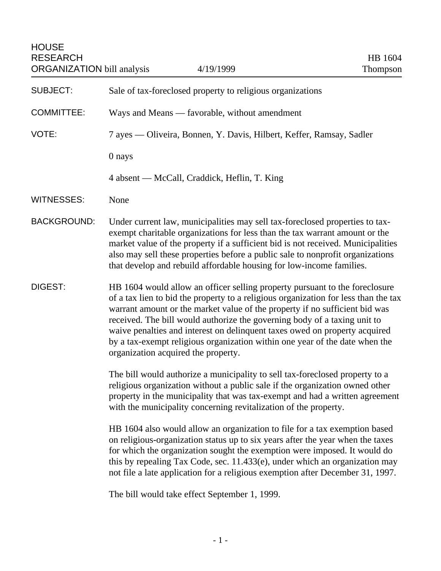| <b>SUBJECT:</b>    | Sale of tax-foreclosed property to religious organizations                                                                                                                                                                                                                                                                                                                                                                                                                                                                         |
|--------------------|------------------------------------------------------------------------------------------------------------------------------------------------------------------------------------------------------------------------------------------------------------------------------------------------------------------------------------------------------------------------------------------------------------------------------------------------------------------------------------------------------------------------------------|
| <b>COMMITTEE:</b>  | Ways and Means — favorable, without amendment                                                                                                                                                                                                                                                                                                                                                                                                                                                                                      |
| VOTE:              | 7 ayes — Oliveira, Bonnen, Y. Davis, Hilbert, Keffer, Ramsay, Sadler                                                                                                                                                                                                                                                                                                                                                                                                                                                               |
|                    | 0 nays                                                                                                                                                                                                                                                                                                                                                                                                                                                                                                                             |
|                    | 4 absent — McCall, Craddick, Heflin, T. King                                                                                                                                                                                                                                                                                                                                                                                                                                                                                       |
| WITNESSES:         | None                                                                                                                                                                                                                                                                                                                                                                                                                                                                                                                               |
| <b>BACKGROUND:</b> | Under current law, municipalities may sell tax-foreclosed properties to tax-<br>exempt charitable organizations for less than the tax warrant amount or the<br>market value of the property if a sufficient bid is not received. Municipalities<br>also may sell these properties before a public sale to nonprofit organizations<br>that develop and rebuild affordable housing for low-income families.                                                                                                                          |
| DIGEST:            | HB 1604 would allow an officer selling property pursuant to the foreclosure<br>of a tax lien to bid the property to a religious organization for less than the tax<br>warrant amount or the market value of the property if no sufficient bid was<br>received. The bill would authorize the governing body of a taxing unit to<br>waive penalties and interest on delinquent taxes owed on property acquired<br>by a tax-exempt religious organization within one year of the date when the<br>organization acquired the property. |
|                    | The bill would authorize a municipality to sell tax-fore closed property to a<br>religious organization without a public sale if the organization owned other<br>property in the municipality that was tax-exempt and had a written agreement<br>with the municipality concerning revitalization of the property.                                                                                                                                                                                                                  |
|                    | HB 1604 also would allow an organization to file for a tax exemption based<br>on religious-organization status up to six years after the year when the taxes<br>for which the organization sought the exemption were imposed. It would do<br>this by repealing Tax Code, sec. 11.433(e), under which an organization may<br>not file a late application for a religious exemption after December 31, 1997.                                                                                                                         |

The bill would take effect September 1, 1999.